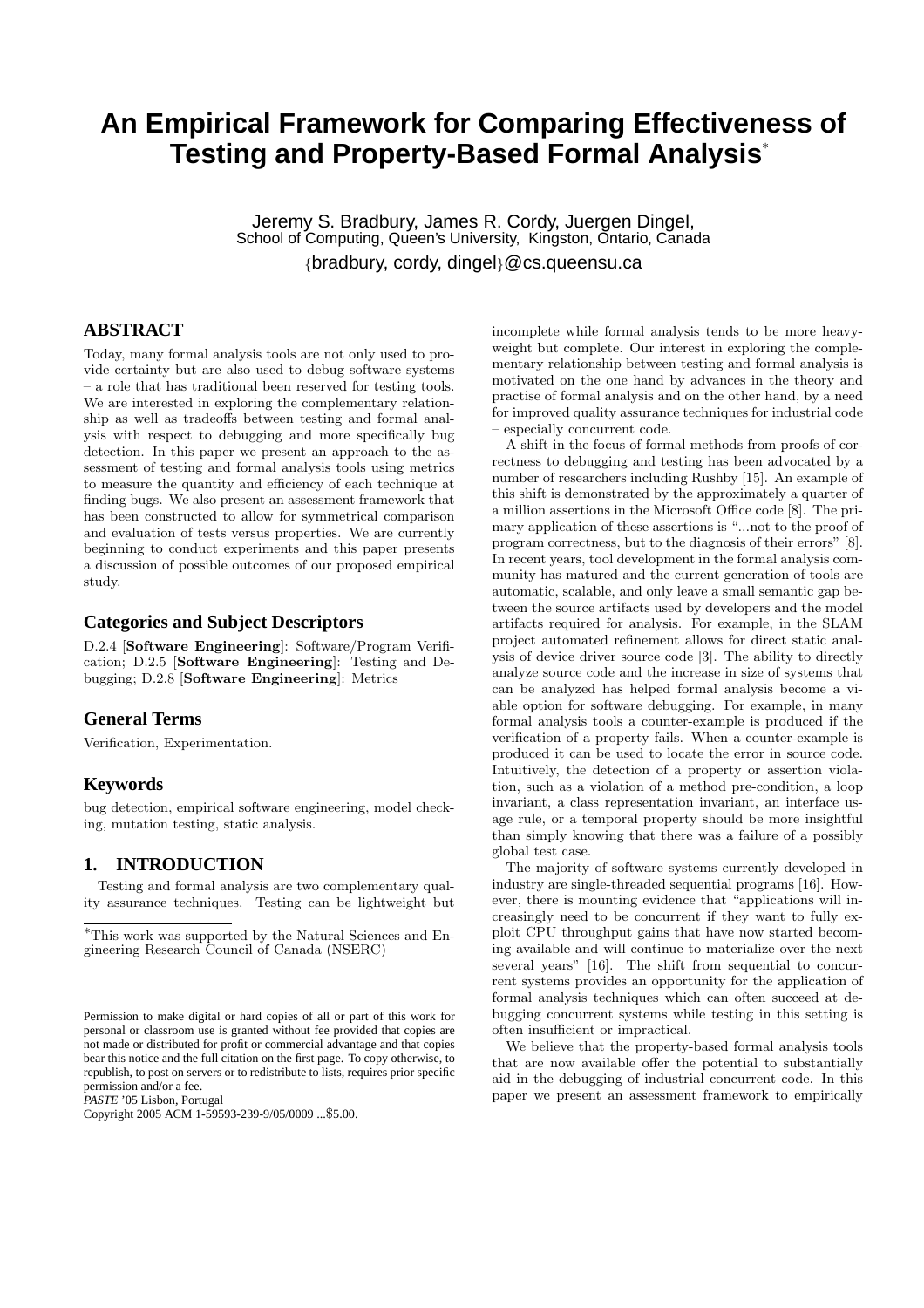# **An Empirical Framework for Comparing Effectiveness of Testing and Property-Based Formal Analysis**<sup>∗</sup>

Jeremy S. Bradbury, James R. Cordy, Juergen Dingel, School of Computing, Queen's University, Kingston, Ontario, Canada {bradbury, cordy, dingel}@cs.queensu.ca

# **ABSTRACT**

Today, many formal analysis tools are not only used to provide certainty but are also used to debug software systems – a role that has traditional been reserved for testing tools. We are interested in exploring the complementary relationship as well as tradeoffs between testing and formal analysis with respect to debugging and more specifically bug detection. In this paper we present an approach to the assessment of testing and formal analysis tools using metrics to measure the quantity and efficiency of each technique at finding bugs. We also present an assessment framework that has been constructed to allow for symmetrical comparison and evaluation of tests versus properties. We are currently beginning to conduct experiments and this paper presents a discussion of possible outcomes of our proposed empirical study.

# **Categories and Subject Descriptors**

D.2.4 [Software Engineering]: Software/Program Verification; D.2.5 [Software Engineering]: Testing and Debugging; D.2.8 [Software Engineering]: Metrics

## **General Terms**

Verification, Experimentation.

#### **Keywords**

bug detection, empirical software engineering, model checking, mutation testing, static analysis.

#### **1. INTRODUCTION**

Testing and formal analysis are two complementary quality assurance techniques. Testing can be lightweight but

*PASTE* '05 Lisbon, Portugal

Copyright 2005 ACM 1-59593-239-9/05/0009 ...\$5.00.

incomplete while formal analysis tends to be more heavyweight but complete. Our interest in exploring the complementary relationship between testing and formal analysis is motivated on the one hand by advances in the theory and practise of formal analysis and on the other hand, by a need for improved quality assurance techniques for industrial code – especially concurrent code.

A shift in the focus of formal methods from proofs of correctness to debugging and testing has been advocated by a number of researchers including Rushby [15]. An example of this shift is demonstrated by the approximately a quarter of a million assertions in the Microsoft Office code [8]. The primary application of these assertions is "...not to the proof of program correctness, but to the diagnosis of their errors" [8]. In recent years, tool development in the formal analysis community has matured and the current generation of tools are automatic, scalable, and only leave a small semantic gap between the source artifacts used by developers and the model artifacts required for analysis. For example, in the SLAM project automated refinement allows for direct static analysis of device driver source code [3]. The ability to directly analyze source code and the increase in size of systems that can be analyzed has helped formal analysis become a viable option for software debugging. For example, in many formal analysis tools a counter-example is produced if the verification of a property fails. When a counter-example is produced it can be used to locate the error in source code. Intuitively, the detection of a property or assertion violation, such as a violation of a method pre-condition, a loop invariant, a class representation invariant, an interface usage rule, or a temporal property should be more insightful than simply knowing that there was a failure of a possibly global test case.

The majority of software systems currently developed in industry are single-threaded sequential programs [16]. However, there is mounting evidence that "applications will increasingly need to be concurrent if they want to fully exploit CPU throughput gains that have now started becoming available and will continue to materialize over the next several years" [16]. The shift from sequential to concurrent systems provides an opportunity for the application of formal analysis techniques which can often succeed at debugging concurrent systems while testing in this setting is often insufficient or impractical.

We believe that the property-based formal analysis tools that are now available offer the potential to substantially aid in the debugging of industrial concurrent code. In this paper we present an assessment framework to empirically

<sup>∗</sup>This work was supported by the Natural Sciences and Engineering Research Council of Canada (NSERC)

Permission to make digital or hard copies of all or part of this work for personal or classroom use is granted without fee provided that copies are not made or distributed for profit or commercial advantage and that copies bear this notice and the full citation on the first page. To copy otherwise, to republish, to post on servers or to redistribute to lists, requires prior specific permission and/or a fee.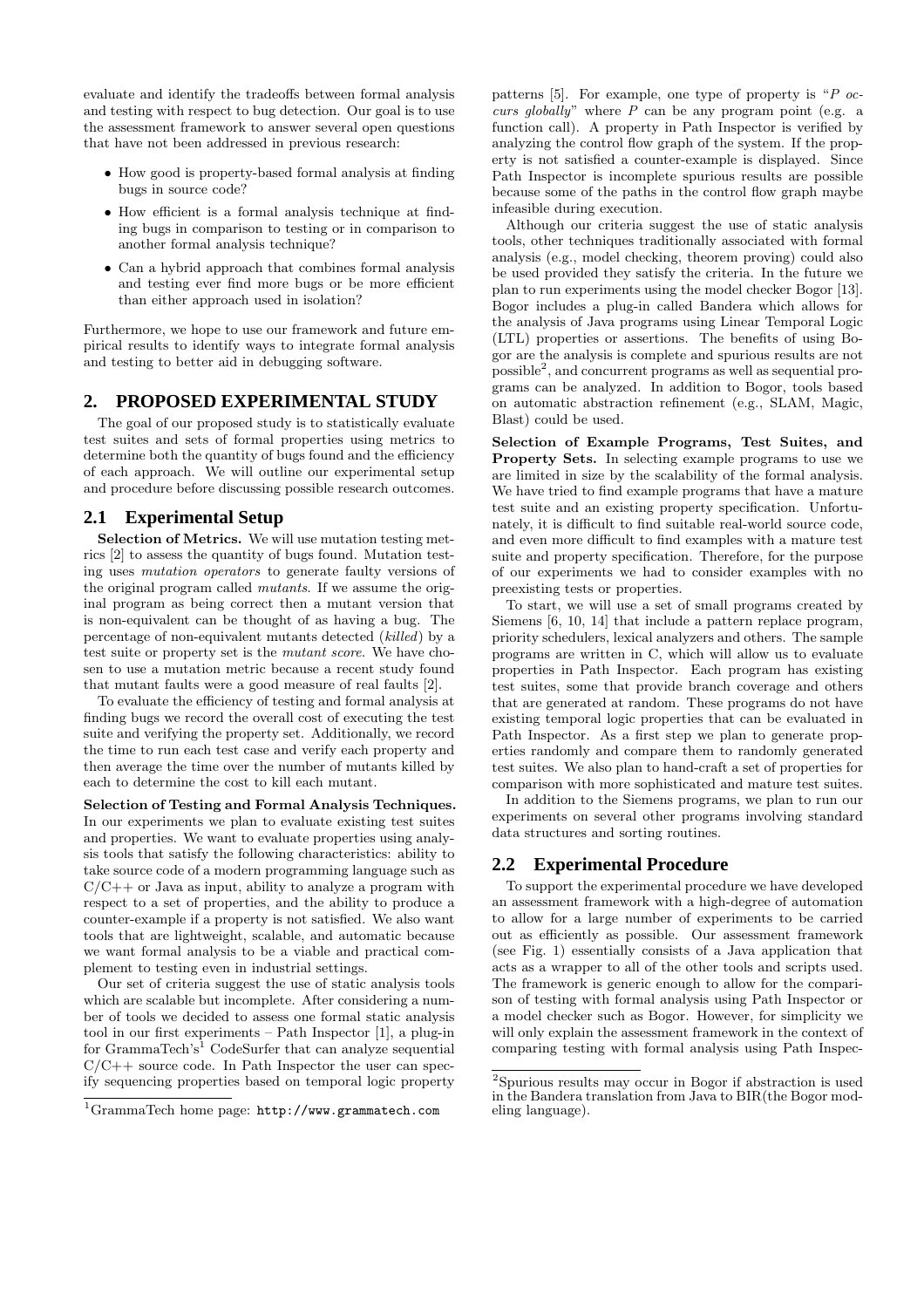evaluate and identify the tradeoffs between formal analysis and testing with respect to bug detection. Our goal is to use the assessment framework to answer several open questions that have not been addressed in previous research:

- How good is property-based formal analysis at finding bugs in source code?
- How efficient is a formal analysis technique at finding bugs in comparison to testing or in comparison to another formal analysis technique?
- Can a hybrid approach that combines formal analysis and testing ever find more bugs or be more efficient than either approach used in isolation?

Furthermore, we hope to use our framework and future empirical results to identify ways to integrate formal analysis and testing to better aid in debugging software.

#### **2. PROPOSED EXPERIMENTAL STUDY**

The goal of our proposed study is to statistically evaluate test suites and sets of formal properties using metrics to determine both the quantity of bugs found and the efficiency of each approach. We will outline our experimental setup and procedure before discussing possible research outcomes.

### **2.1 Experimental Setup**

Selection of Metrics. We will use mutation testing metrics [2] to assess the quantity of bugs found. Mutation testing uses mutation operators to generate faulty versions of the original program called mutants. If we assume the original program as being correct then a mutant version that is non-equivalent can be thought of as having a bug. The percentage of non-equivalent mutants detected (killed) by a test suite or property set is the mutant score. We have chosen to use a mutation metric because a recent study found that mutant faults were a good measure of real faults [2].

To evaluate the efficiency of testing and formal analysis at finding bugs we record the overall cost of executing the test suite and verifying the property set. Additionally, we record the time to run each test case and verify each property and then average the time over the number of mutants killed by each to determine the cost to kill each mutant.

Selection of Testing and Formal Analysis Techniques. In our experiments we plan to evaluate existing test suites and properties. We want to evaluate properties using analysis tools that satisfy the following characteristics: ability to take source code of a modern programming language such as  $C/C++$  or Java as input, ability to analyze a program with respect to a set of properties, and the ability to produce a counter-example if a property is not satisfied. We also want tools that are lightweight, scalable, and automatic because we want formal analysis to be a viable and practical complement to testing even in industrial settings.

Our set of criteria suggest the use of static analysis tools which are scalable but incomplete. After considering a number of tools we decided to assess one formal static analysis tool in our first experiments – Path Inspector [1], a plug-in for GrammaTech's<sup>1</sup> CodeSurfer that can analyze sequential  $C/C++$  source code. In Path Inspector the user can specify sequencing properties based on temporal logic property patterns [5]. For example, one type of property is " $P$  occurs globally" where  $P$  can be any program point (e.g. a function call). A property in Path Inspector is verified by analyzing the control flow graph of the system. If the property is not satisfied a counter-example is displayed. Since Path Inspector is incomplete spurious results are possible because some of the paths in the control flow graph maybe infeasible during execution.

Although our criteria suggest the use of static analysis tools, other techniques traditionally associated with formal analysis (e.g., model checking, theorem proving) could also be used provided they satisfy the criteria. In the future we plan to run experiments using the model checker Bogor [13]. Bogor includes a plug-in called Bandera which allows for the analysis of Java programs using Linear Temporal Logic (LTL) properties or assertions. The benefits of using Bogor are the analysis is complete and spurious results are not possible<sup>2</sup> , and concurrent programs as well as sequential programs can be analyzed. In addition to Bogor, tools based on automatic abstraction refinement (e.g., SLAM, Magic, Blast) could be used.

Selection of Example Programs, Test Suites, and Property Sets. In selecting example programs to use we are limited in size by the scalability of the formal analysis. We have tried to find example programs that have a mature test suite and an existing property specification. Unfortunately, it is difficult to find suitable real-world source code, and even more difficult to find examples with a mature test suite and property specification. Therefore, for the purpose of our experiments we had to consider examples with no preexisting tests or properties.

To start, we will use a set of small programs created by Siemens [6, 10, 14] that include a pattern replace program, priority schedulers, lexical analyzers and others. The sample programs are written in C, which will allow us to evaluate properties in Path Inspector. Each program has existing test suites, some that provide branch coverage and others that are generated at random. These programs do not have existing temporal logic properties that can be evaluated in Path Inspector. As a first step we plan to generate properties randomly and compare them to randomly generated test suites. We also plan to hand-craft a set of properties for comparison with more sophisticated and mature test suites.

In addition to the Siemens programs, we plan to run our experiments on several other programs involving standard data structures and sorting routines.

### **2.2 Experimental Procedure**

To support the experimental procedure we have developed an assessment framework with a high-degree of automation to allow for a large number of experiments to be carried out as efficiently as possible. Our assessment framework (see Fig. 1) essentially consists of a Java application that acts as a wrapper to all of the other tools and scripts used. The framework is generic enough to allow for the comparison of testing with formal analysis using Path Inspector or a model checker such as Bogor. However, for simplicity we will only explain the assessment framework in the context of comparing testing with formal analysis using Path Inspec-

<sup>1</sup>GrammaTech home page: http://www.grammatech.com

<sup>&</sup>lt;sup>2</sup>Spurious results may occur in Bogor if abstraction is used in the Bandera translation from Java to BIR(the Bogor modeling language).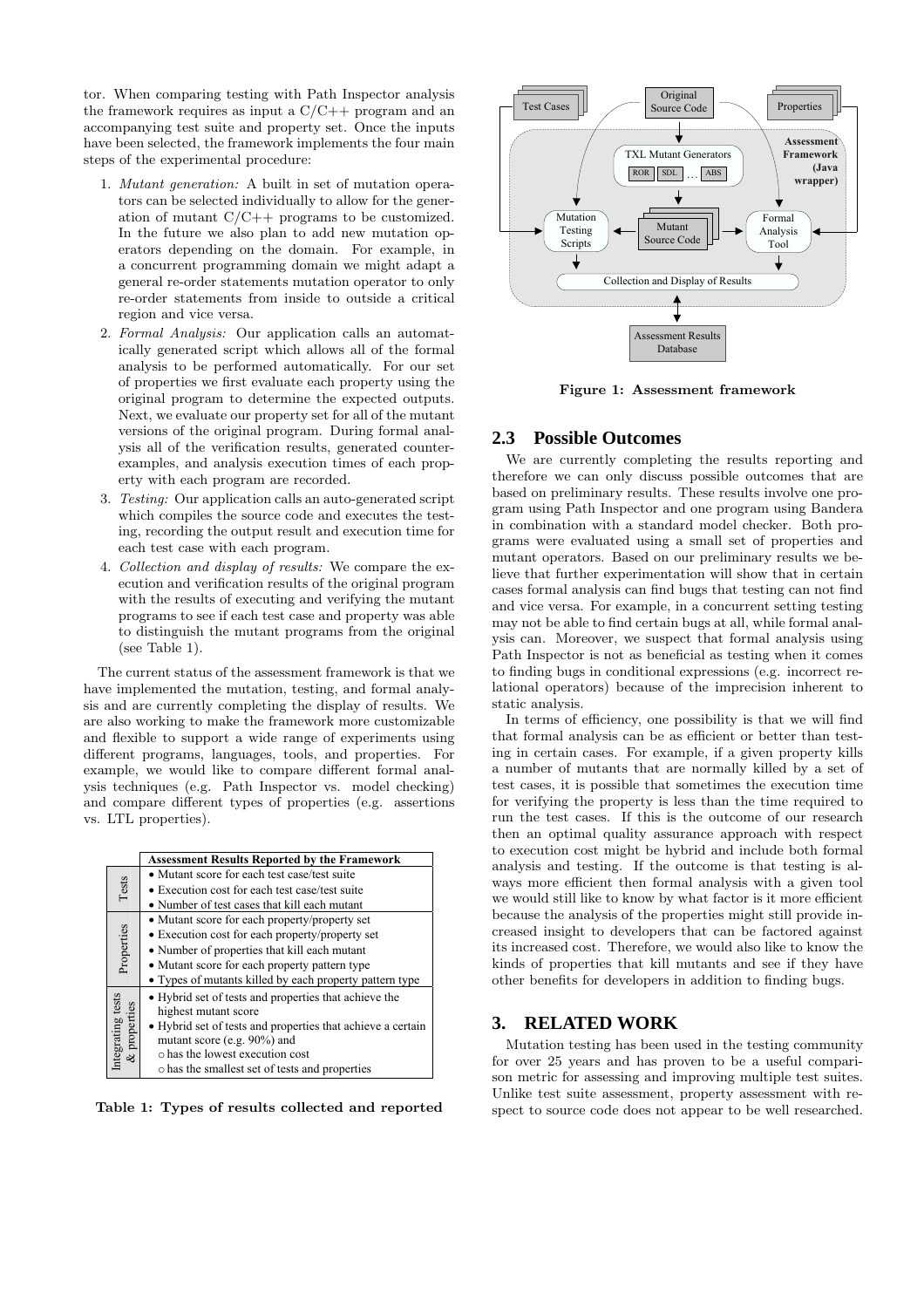tor. When comparing testing with Path Inspector analysis the framework requires as input a  $C/C++$  program and an accompanying test suite and property set. Once the inputs have been selected, the framework implements the four main steps of the experimental procedure:

- 1. Mutant generation: A built in set of mutation operators can be selected individually to allow for the generation of mutant  $C/C++$  programs to be customized. In the future we also plan to add new mutation operators depending on the domain. For example, in a concurrent programming domain we might adapt a general re-order statements mutation operator to only re-order statements from inside to outside a critical region and vice versa.
- 2. Formal Analysis: Our application calls an automatically generated script which allows all of the formal analysis to be performed automatically. For our set of properties we first evaluate each property using the original program to determine the expected outputs. Next, we evaluate our property set for all of the mutant versions of the original program. During formal analysis all of the verification results, generated counterexamples, and analysis execution times of each property with each program are recorded.
- 3. Testing: Our application calls an auto-generated script which compiles the source code and executes the testing, recording the output result and execution time for each test case with each program.
- 4. Collection and display of results: We compare the execution and verification results of the original program with the results of executing and verifying the mutant programs to see if each test case and property was able to distinguish the mutant programs from the original (see Table 1).

The current status of the assessment framework is that we have implemented the mutation, testing, and formal analysis and are currently completing the display of results. We are also working to make the framework more customizable and flexible to support a wide range of experiments using different programs, languages, tools, and properties. For example, we would like to compare different formal analysis techniques (e.g. Path Inspector vs. model checking) and compare different types of properties (e.g. assertions vs. LTL properties).

|                                   | <b>Assessment Results Reported by the Framework</b>         |
|-----------------------------------|-------------------------------------------------------------|
| Tests                             | • Mutant score for each test case/test suite                |
|                                   | • Execution cost for each test case/test suite              |
|                                   | • Number of test cases that kill each mutant                |
| Properties                        | • Mutant score for each property/property set               |
|                                   | • Execution cost for each property/property set             |
|                                   | • Number of properties that kill each mutant                |
|                                   | • Mutant score for each property pattern type               |
|                                   | • Types of mutants killed by each property pattern type     |
| Integrating tests<br>& properties | • Hybrid set of tests and properties that achieve the       |
|                                   | highest mutant score                                        |
|                                   | • Hybrid set of tests and properties that achieve a certain |
|                                   | mutant score (e.g. 90%) and                                 |
|                                   | o has the lowest execution cost                             |
|                                   | o has the smallest set of tests and properties              |

Table 1: Types of results collected and reported



Figure 1: Assessment framework

### **2.3 Possible Outcomes**

We are currently completing the results reporting and therefore we can only discuss possible outcomes that are based on preliminary results. These results involve one program using Path Inspector and one program using Bandera in combination with a standard model checker. Both programs were evaluated using a small set of properties and mutant operators. Based on our preliminary results we believe that further experimentation will show that in certain cases formal analysis can find bugs that testing can not find and vice versa. For example, in a concurrent setting testing may not be able to find certain bugs at all, while formal analysis can. Moreover, we suspect that formal analysis using Path Inspector is not as beneficial as testing when it comes to finding bugs in conditional expressions (e.g. incorrect relational operators) because of the imprecision inherent to static analysis.

In terms of efficiency, one possibility is that we will find that formal analysis can be as efficient or better than testing in certain cases. For example, if a given property kills a number of mutants that are normally killed by a set of test cases, it is possible that sometimes the execution time for verifying the property is less than the time required to run the test cases. If this is the outcome of our research then an optimal quality assurance approach with respect to execution cost might be hybrid and include both formal analysis and testing. If the outcome is that testing is always more efficient then formal analysis with a given tool we would still like to know by what factor is it more efficient because the analysis of the properties might still provide increased insight to developers that can be factored against its increased cost. Therefore, we would also like to know the kinds of properties that kill mutants and see if they have other benefits for developers in addition to finding bugs.

### **3. RELATED WORK**

Mutation testing has been used in the testing community for over 25 years and has proven to be a useful comparison metric for assessing and improving multiple test suites. Unlike test suite assessment, property assessment with respect to source code does not appear to be well researched.